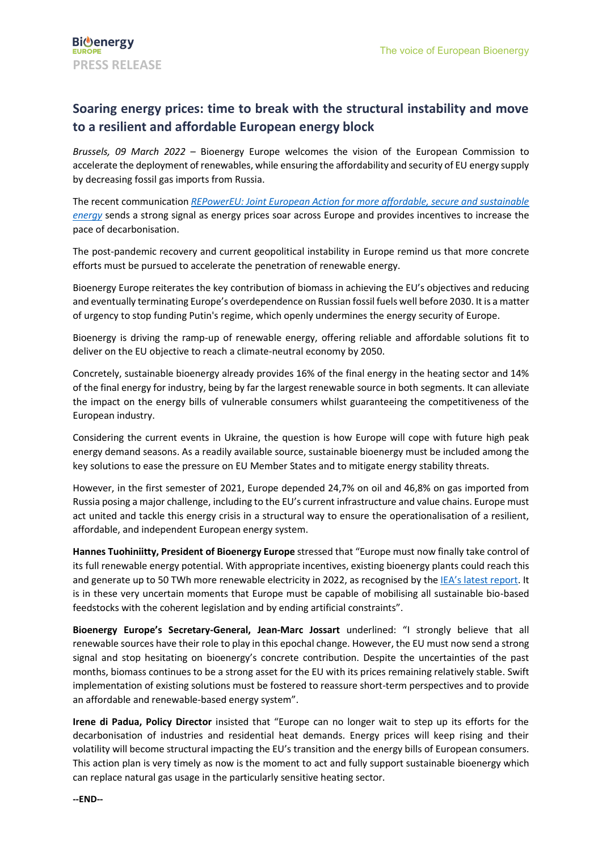## **Soaring energy prices: time to break with the structural instability and move to a resilient and affordable European energy block**

*Brussels, 09 March 2022* – Bioenergy Europe welcomes the vision of the European Commission to accelerate the deployment of renewables, while ensuring the affordability and security of EU energy supply by decreasing fossil gas imports from Russia.

The recent communication *[REPowerEU: Joint European Action for more affordable, secure and sustainable](https://energy.ec.europa.eu/system/files/2022-03/REPowerEU_Communication_with_Annexes_EN.pdf)  [energy](https://energy.ec.europa.eu/system/files/2022-03/REPowerEU_Communication_with_Annexes_EN.pdf)* sends a strong signal as energy prices soar across Europe and provides incentives to increase the pace of decarbonisation.

The post-pandemic recovery and current geopolitical instability in Europe remind us that more concrete efforts must be pursued to accelerate the penetration of renewable energy.

Bioenergy Europe reiterates the key contribution of biomass in achieving the EU's objectives and reducing and eventually terminating Europe's overdependence on Russian fossil fuels well before 2030. It is a matter of urgency to stop funding Putin's regime, which openly undermines the energy security of Europe.

Bioenergy is driving the ramp-up of renewable energy, offering reliable and affordable solutions fit to deliver on the EU objective to reach a climate-neutral economy by 2050.

Concretely, sustainable bioenergy already provides 16% of the final energy in the heating sector and 14% of the final energy for industry, being by far the largest renewable source in both segments. It can alleviate the impact on the energy bills of vulnerable consumers whilst guaranteeing the competitiveness of the European industry.

Considering the current events in Ukraine, the question is how Europe will cope with future high peak energy demand seasons. As a readily available source, sustainable bioenergy must be included among the key solutions to ease the pressure on EU Member States and to mitigate energy stability threats.

However, in the first semester of 2021, Europe depended 24,7% on oil and 46,8% on gas imported from Russia posing a major challenge, including to the EU's current infrastructure and value chains. Europe must act united and tackle this energy crisis in a structural way to ensure the operationalisation of a resilient, affordable, and independent European energy system.

**Hannes Tuohiniitty, President of Bioenergy Europe** stressed that "Europe must now finally take control of its full renewable energy potential. With appropriate incentives, existing bioenergy plants could reach this and generate up to 50 TWh more renewable electricity in 2022, as recognised by the IEA's [latest report.](https://www.iea.org/reports/a-10-point-plan-to-reduce-the-european-unions-reliance-on-russian-natural-gas) It is in these very uncertain moments that Europe must be capable of mobilising all sustainable bio-based feedstocks with the coherent legislation and by ending artificial constraints".

**Bioenergy Europe's Secretary-General, Jean-Marc Jossart** underlined: "I strongly believe that all renewable sources have their role to play in this epochal change. However, the EU must now send a strong signal and stop hesitating on bioenergy's concrete contribution. Despite the uncertainties of the past months, biomass continues to be a strong asset for the EU with its prices remaining relatively stable. Swift implementation of existing solutions must be fostered to reassure short-term perspectives and to provide an affordable and renewable-based energy system".

**Irene di Padua, Policy Director** insisted that "Europe can no longer wait to step up its efforts for the decarbonisation of industries and residential heat demands. Energy prices will keep rising and their volatility will become structural impacting the EU's transition and the energy bills of European consumers. This action plan is very timely as now is the moment to act and fully support sustainable bioenergy which can replace natural gas usage in the particularly sensitive heating sector.

**--END--**